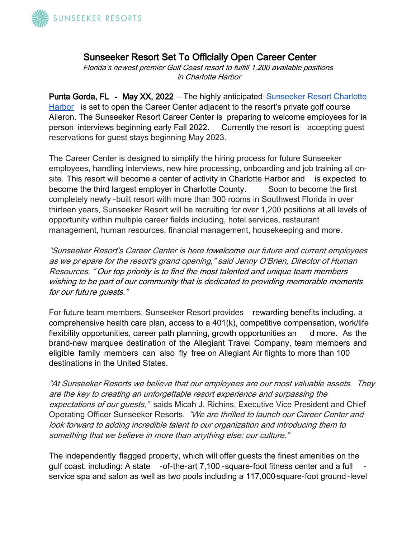

## Sunseeker Resort Set To Officially Open Career Center

Florida's newest premier Gulf Coast resort to fulfill 1,200 available positions in Charlotte Harbor

Punta Gorda, FL - May XX, 2022 – The highly anticipated Sunseeker Resort Charlotte [Harbor](https://www.sunseekerresorts.com/) is set to open the Career Center adjacent to the resort's private golf course Aileron. The Sunseeker Resort Career Center is preparing to welcome employees for inperson interviews beginning early Fall 2022. Currently the resort is accepting guest reservations for guest stays beginning May 2023.

The Career Center is designed to simplify the hiring process for future Sunseeker employees, handling interviews, new hire processing, onboarding and job training all onsite. This resort will become a center of activity in Charlotte Harbor and is expected to become the third largest employer in Charlotte County. Soon to become the first completely newly -built resort with more than 300 rooms in Southwest Florida in over thirteen years, Sunseeker Resort will be recruiting for over 1,200 positions at all levels of opportunity within multiple career fields including, hotel services, restaurant management, human resources, financial management, housekeeping and more.

"Sunseeker Resort's Career Center is here to welcome our future and current employees as we pr epare for the resort's grand opening," said Jenny O'Brien, Director of Human Resources. " Our top priority is to find the most talented and unique team members wishing to be part of our community that is dedicated to providing memorable moments for our future guests."

For future team members, Sunseeker Resort provides rewarding benefits including, a comprehensive health care plan, access to a 401(k), competitive compensation, work/life flexibility opportunities, career path planning, growth opportunities an d more. As the brand-new marquee destination of the Allegiant Travel Company, team members and eligible family members can also fly free on Allegiant Air flights to more than 100 destinations in the United States.

"At Sunseeker Resorts we believe that our employees are our most valuable assets. They are the key to creating an unforgettable resort experience and surpassing the expectations of our guests," saids Micah J. Richins, Executive Vice President and Chief Operating Officer Sunseeker Resorts. "We are thrilled to launch our Career Center and look forward to adding incredible talent to our organization and introducing them to something that we believe in more than anything else: our culture."

The independently flagged property, which will offer guests the finest amenities on the gulf coast, including: A state -of-the-art 7,100 -square-foot fitness center and a full service spa and salon as well as two pools including a 117,000-square-foot ground -level